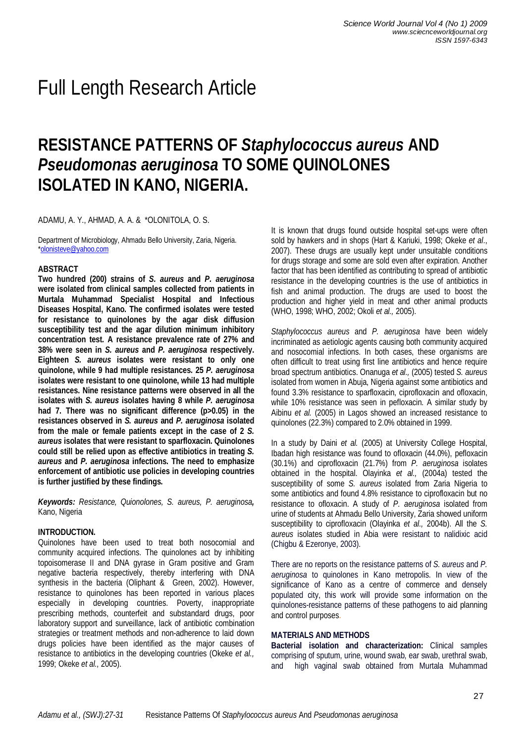# Full Length Research Article

# **RESISTANCE PATTERNS OF** *Staphylococcus aureus* **AND** *Pseudomonas aeruginosa* **TO SOME QUINOLONES ISOLATED IN KANO, NIGERIA.**

ADAMU, A. Y., AHMAD, A. A. & \*OLONITOLA, O. S.

Department of Microbiology, Ahmadu Bello University, Zaria, Nigeria. \*olonisteve@yahoo.com

## **ABSTRACT**

**Two hundred (200) strains of** *S. aureus* **and** *P. aeruginosa* **were isolated from clinical samples collected from patients in Murtala Muhammad Specialist Hospital and Infectious Diseases Hospital, Kano. The confirmed isolates were tested for resistance to quinolones by the agar disk diffusion susceptibility test and the agar dilution minimum inhibitory concentration test. A resistance prevalence rate of 27% and 38% were seen in** *S. aureus* **and** *P. aeruginosa* **respectively. Eighteen** *S. aureus* **isolates were resistant to only one quinolone, while 9 had multiple resistances. 25** *P. aeruginosa* **isolates were resistant to one quinolone, while 13 had multiple resistances. Nine resistance patterns were observed in all the isolates with** *S. aureus* **isolates having 8 while** *P. aeruginosa* **had 7. There was no significant difference (p>0.05) in the resistances observed in** *S. aureus* **and** *P. aeruginosa* **isolated from the male or female patients except in the case of 2** *S. aureus* **isolates that were resistant to sparfloxacin. Quinolones could still be relied upon as effective antibiotics in treating** *S. aureus* **and** *P. aeruginosa* **infections. The need to emphasize enforcement of antibiotic use policies in developing countries is further justified by these findings.**

*Keywords: Resistance, Quionolones, S. aureus, P. aeruginosa,*  Kano, Nigeria

#### **INTRODUCTION.**

Quinolones have been used to treat both nosocomial and community acquired infections. The quinolones act by inhibiting topoisomerase II and DNA gyrase in Gram positive and Gram negative bacteria respectively, thereby interfering with DNA synthesis in the bacteria (Oliphant & Green, 2002). However, resistance to quinolones has been reported in various places especially in developing countries. Poverty, inappropriate prescribing methods, counterfeit and substandard drugs, poor laboratory support and surveillance, lack of antibiotic combination strategies or treatment methods and non-adherence to laid down drugs policies have been identified as the major causes of resistance to antibiotics in the developing countries (Okeke *et al.,* 1999; Okeke *et al.,* 2005).

It is known that drugs found outside hospital set-ups were often sold by hawkers and in shops (Hart & Kariuki, 1998; Okeke *et al*., 2007). These drugs are usually kept under unsuitable conditions for drugs storage and some are sold even after expiration. Another factor that has been identified as contributing to spread of antibiotic resistance in the developing countries is the use of antibiotics in fish and animal production. The drugs are used to boost the production and higher yield in meat and other animal products (WHO, 1998; WHO, 2002; Okoli *et al.,* 2005).

*Staphylococcus aureus* and *P. aeruginosa* have been widely incriminated as aetiologic agents causing both community acquired and nosocomial infections. In both cases, these organisms are often difficult to treat using first line antibiotics and hence require broad spectrum antibiotics. Onanuga *et al.,* (2005) tested *S. aureus* isolated from women in Abuja, Nigeria against some antibiotics and found 3.3% resistance to sparfloxacin, ciprofloxacin and ofloxacin, while 10% resistance was seen in pefloxacin. A similar study by Aibinu *et al.* (2005) in Lagos showed an increased resistance to quinolones (22.3%) compared to 2.0% obtained in 1999.

In a study by Daini *et al.* (2005) at University College Hospital, Ibadan high resistance was found to ofloxacin (44.0%), pefloxacin (30.1%) and ciprofloxacin (21.7%) from *P. aeruginosa* isolates obtained in the hospital. Olayinka *et al.,* (2004a) tested the susceptibility of some *S. aureus* isolated from Zaria Nigeria to some antibiotics and found 4.8% resistance to ciprofloxacin but no resistance to ofloxacin. A study of *P. aeruginosa* isolated from urine of students at Ahmadu Bello University, Zaria showed uniform susceptibility to ciprofloxacin (Olayinka *et al.,* 2004b). All the *S. aureus* isolates studied in Abia were resistant to nalidixic acid (Chigbu & Ezeronye, 2003).

There are no reports on the resistance patterns of *S. aureus* and *P. aeruginosa* to quinolones in Kano metropolis. In view of the significance of Kano as a centre of commerce and densely populated city, this work will provide some information on the quinolones-resistance patterns of these pathogens to aid planning and control purposes.

#### **MATERIALS AND METHODS**

**Bacterial isolation and characterization:** Clinical samples comprising of sputum, urine, wound swab, ear swab, urethral swab, and high vaginal swab obtained from Murtala Muhammad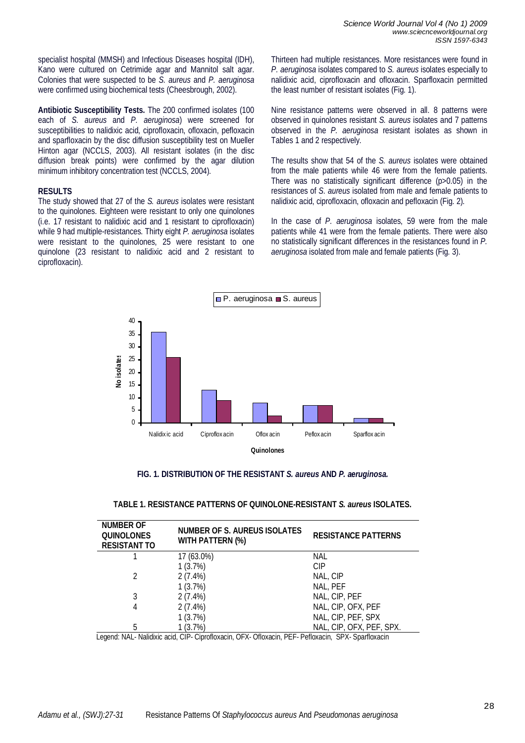specialist hospital (MMSH) and Infectious Diseases hospital (IDH), Kano were cultured on Cetrimide agar and Mannitol salt agar. Colonies that were suspected to be *S. aureus* and *P. aeruginosa* were confirmed using biochemical tests (Cheesbrough, 2002).

**Antibiotic Susceptibility Tests.** The 200 confirmed isolates (100 each of *S. aureus* and *P. aeruginosa*) were screened for susceptibilities to nalidixic acid, ciprofloxacin, ofloxacin, pefloxacin and sparfloxacin by the disc diffusion susceptibility test on Mueller Hinton agar (NCCLS, 2003). All resistant isolates (in the disc diffusion break points) were confirmed by the agar dilution minimum inhibitory concentration test (NCCLS, 2004).

# **RESULTS**

The study showed that 27 of the *S. aureus* isolates were resistant to the quinolones. Eighteen were resistant to only one quinolones (i.e. 17 resistant to nalidixic acid and 1 resistant to ciprofloxacin) while 9 had multiple-resistances. Thirty eight *P. aeruginosa* isolates were resistant to the quinolones, 25 were resistant to one quinolone (23 resistant to nalidixic acid and 2 resistant to ciprofloxacin).

Thirteen had multiple resistances. More resistances were found in *P. aeruginosa* isolates compared to *S. aureus* isolates especially to nalidixic acid, ciprofloxacin and ofloxacin. Sparfloxacin permitted the least number of resistant isolates (Fig. 1).

Nine resistance patterns were observed in all. 8 patterns were observed in quinolones resistant *S. aureus* isolates and 7 patterns observed in the *P. aeruginosa* resistant isolates as shown in Tables 1 and 2 respectively.

The results show that 54 of the *S. aureus* isolates were obtained from the male patients while 46 were from the female patients. There was no statistically significant difference (p>0.05) in the resistances of *S. aureus* isolated from male and female patients to nalidixic acid, ciprofloxacin, ofloxacin and pefloxacin (Fig. 2).

In the case of *P. aeruginosa* isolates, 59 were from the male patients while 41 were from the female patients. There were also no statistically significant differences in the resistances found in *P. aeruginosa* isolated from male and female patients (Fig. 3).



# **FIG. 1. DISTRIBUTION OF THE RESISTANT** *S. aureus* **AND** *P. aeruginosa.*

| <b>NUMBER OF</b><br><b>QUINOLONES</b><br><b>RESISTANT TO</b> | <b>NUMBER OF S. AUREUS ISOLATES</b><br><b>WITH PATTERN (%)</b> | <b>RESISTANCE PATTERNS</b> |
|--------------------------------------------------------------|----------------------------------------------------------------|----------------------------|
|                                                              | 17 (63.0%)                                                     | NAL                        |
|                                                              | 1(3.7%)                                                        | CIP                        |
| $\mathcal{P}$                                                | $2(7.4\%)$                                                     | NAL, CIP                   |
|                                                              | 1(3.7%)                                                        | NAL, PEF                   |
| 3                                                            | $2(7.4\%)$                                                     | NAL, CIP, PEF              |
| 4                                                            | $2(7.4\%)$                                                     | NAL, CIP, OFX, PEF         |
|                                                              | 1(3.7%)                                                        | NAL, CIP, PEF, SPX         |
| 5                                                            | 1 (3.7%)                                                       | NAL, CIP, OFX, PEF, SPX.   |

## **TABLE 1. RESISTANCE PATTERNS OF QUINOLONE-RESISTANT** *S. aureus* **ISOLATES.**

Legend: NAL- Nalidixic acid, CIP- Ciprofloxacin, OFX- Ofloxacin, PEF- Pefloxacin, SPX- Sparfloxacin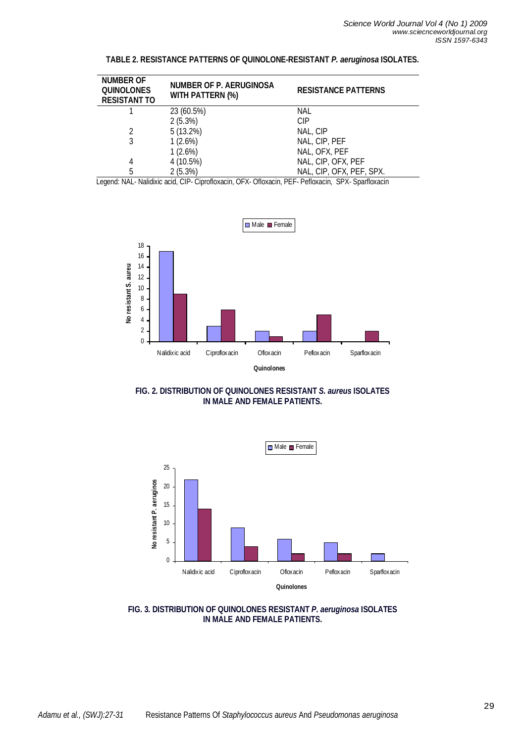| <b>NUMBER OF</b><br><b>QUINOLONES</b><br><b>RESISTANT TO</b> | <b>NUMBER OF P. AERUGINOSA</b><br><b>WITH PATTERN (%)</b> | <b>RESISTANCE PATTERNS</b> |
|--------------------------------------------------------------|-----------------------------------------------------------|----------------------------|
|                                                              | 23 (60.5%)                                                | NAL                        |
|                                                              | 2(5.3%)                                                   | CIP                        |
|                                                              | 5(13.2%)                                                  | NAL, CIP                   |
| 3                                                            | 1(2.6%)                                                   | NAL, CIP, PEF              |
|                                                              | 1(2.6%)                                                   | NAL, OFX, PEF              |
| 4                                                            | 4 (10.5%)                                                 | NAL, CIP, OFX, PEF         |
| 5                                                            | 2(5.3%)                                                   | NAL, CIP, OFX, PEF, SPX.   |

# **TABLE 2. RESISTANCE PATTERNS OF QUINOLONE-RESISTANT** *P. aeruginosa* **ISOLATES.**

Legend: NAL- Nalidixic acid, CIP- Ciprofloxacin, OFX- Ofloxacin, PEF- Pefloxacin, SPX- Sparfloxacin



**FIG. 2. DISTRIBUTION OF QUINOLONES RESISTANT** *S. aureus* **ISOLATES IN MALE AND FEMALE PATIENTS.**



**FIG. 3. DISTRIBUTION OF QUINOLONES RESISTANT** *P. aeruginosa* **ISOLATES IN MALE AND FEMALE PATIENTS.**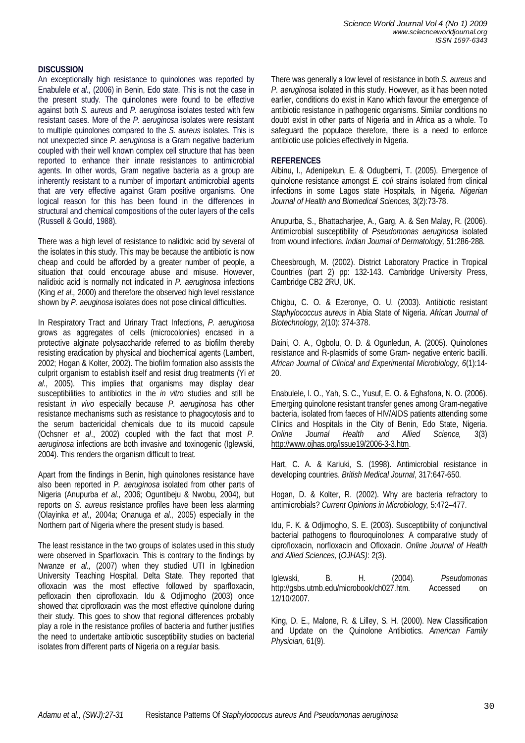# **DISCUSSION**

An exceptionally high resistance to quinolones was reported by Enabulele *et al.,* (2006) in Benin, Edo state. This is not the case in the present study. The quinolones were found to be effective against both *S. aureus* and *P. aeruginosa* isolates tested with few resistant cases. More of the *P. aeruginosa* isolates were resistant to multiple quinolones compared to the *S. aureus* isolates. This is not unexpected since *P. aeruginosa* is a Gram negative bacterium coupled with their well known complex cell structure that has been reported to enhance their innate resistances to antimicrobial agents. In other words, Gram negative bacteria as a group are inherently resistant to a number of important antimicrobial agents that are very effective against Gram positive organisms. One logical reason for this has been found in the differences in structural and chemical compositions of the outer layers of the cells (Russell & Gould, 1988).

There was a high level of resistance to nalidixic acid by several of the isolates in this study. This may be because the antibiotic is now cheap and could be afforded by a greater number of people, a situation that could encourage abuse and misuse. However, nalidixic acid is normally not indicated in *P. aeruginosa* infections (King *et al.,* 2000) and therefore the observed high level resistance shown by *P. aeuginosa* isolates does not pose clinical difficulties.

In Respiratory Tract and Urinary Tract Infections, *P. aeruginosa* grows as aggregates of cells (microcolonies) encased in a protective alginate polysaccharide referred to as biofilm thereby resisting eradication by physical and biochemical agents (Lambert, 2002; Hogan & Kolter, 2002). The biofilm formation also assists the culprit organism to establish itself and resist drug treatments (Yi *et al.,* 2005). This implies that organisms may display clear susceptibilities to antibiotics in the *in vitro* studies and still be resistant *in vivo* especially because *P. aeruginosa* has other resistance mechanisms such as resistance to phagocytosis and to the serum bactericidal chemicals due to its mucoid capsule (Ochsner *et al*., 2002) coupled with the fact that most *P. aeruginosa* infections are both invasive and toxinogenic (Iglewski, 2004). This renders the organism difficult to treat.

Apart from the findings in Benin, high quinolones resistance have also been reported in *P. aeruginosa* isolated from other parts of Nigeria (Anupurba *et al.,* 2006; Oguntibeju & Nwobu, 2004), but reports on *S. aureus* resistance profiles have been less alarming (Olayinka *et al.,* 2004a; Onanuga *et al.,* 2005) especially in the Northern part of Nigeria where the present study is based.

The least resistance in the two groups of isolates used in this study were observed in Sparfloxacin. This is contrary to the findings by Nwanze *et al.,* (2007) when they studied UTI in Igbinedion University Teaching Hospital, Delta State. They reported that ofloxacin was the most effective followed by sparfloxacin, pefloxacin then ciprofloxacin. Idu & Odjimogho (2003) once showed that ciprofloxacin was the most effective quinolone during their study. This goes to show that regional differences probably play a role in the resistance profiles of bacteria and further justifies the need to undertake antibiotic susceptibility studies on bacterial isolates from different parts of Nigeria on a regular basis.

There was generally a low level of resistance in both *S. aureus* and *P. aeruginosa* isolated in this study. However, as it has been noted earlier, conditions do exist in Kano which favour the emergence of antibiotic resistance in pathogenic organisms. Similar conditions no doubt exist in other parts of Nigeria and in Africa as a whole. To safeguard the populace therefore, there is a need to enforce antibiotic use policies effectively in Nigeria.

## **REFERENCES**

Aibinu, I., Adenipekun, E. & Odugbemi, T. (2005). Emergence of quinolone resistance amongst *E. coli* strains isolated from clinical infections in some Lagos state Hospitals, in Nigeria. *Nigerian Journal of Health and Biomedical Sciences,* 3(2):73-78.

Anupurba, S., Bhattacharjee, A., Garg, A. & Sen Malay, R. (2006). Antimicrobial susceptibility of *Pseudomonas aeruginosa* isolated from wound infections. *Indian Journal of Dermatology,* 51:286-288.

Cheesbrough, M. (2002). District Laboratory Practice in Tropical Countries (part 2) pp: 132-143. Cambridge University Press, Cambridge CB2 2RU, UK.

Chigbu, C. O. & Ezeronye, O. U. (2003). Antibiotic resistant *Staphylococcus aureus* in Abia State of Nigeria. *African Journal of Biotechnology,* 2(10): 374-378.

Daini, O. A., Ogbolu, O. D. & Ogunledun, A. (2005). Quinolones resistance and R-plasmids of some Gram- negative enteric bacilli. *African Journal of Clinical and Experimental Microbiology, 6*(1):14- 20.

Enabulele, I. O., Yah, S. C., Yusuf, E. O. & Eghafona, N. O. (2006). Emerging quinolone resistant transfer genes among Gram-negative bacteria, isolated from faeces of HIV/AIDS patients attending some Clinics and Hospitals in the City of Benin, Edo State, Nigeria. *Online Journal Health and Allied Science,* 3(3) http://www.ojhas.org/issue19/2006-3-3.htm.

Hart, C. A. & Kariuki, S. (1998). Antimicrobial resistance in developing countries. *British Medical Journal*, 317:647-650.

Hogan, D. & Kolter, R. (2002). Why are bacteria refractory to antimicrobials? *Current Opinions in Microbiology,* 5:472–477.

Idu, F. K. & Odjimogho, S. E. (2003). Susceptibility of conjunctival bacterial pathogens to flouroquinolones: A comparative study of ciprofloxacin, norfloxacin and Ofloxacin. *Online Journal of Health and Allied Sciences,* (*OJHAS)*: 2(3).

Iglewski, B. H. (2004). *Pseudomonas*  http://gsbs.utmb.edu/microbook/ch027.htm. Accessed on 12/10/2007.

King, D. E., Malone, R. & Lilley, S. H. (2000). New Classification and Update on the Quinolone Antibiotics. *American Family Physician,* 61(9).